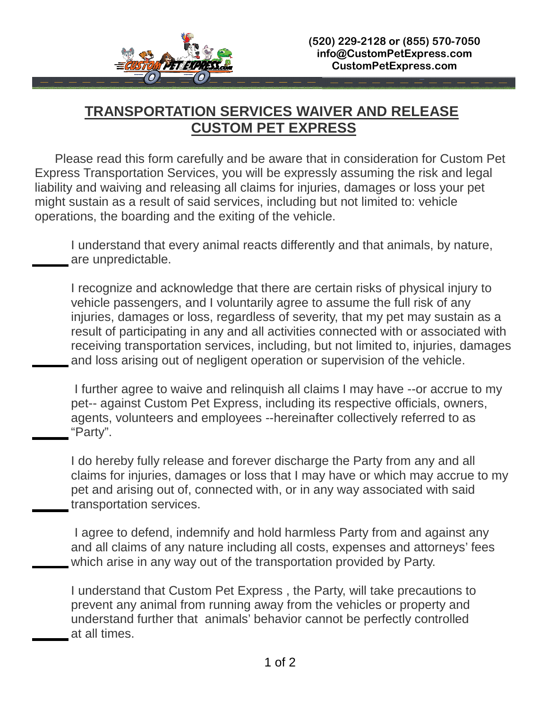

## **TRANSPORTATION SERVICES WAIVER AND RELEASE CUSTOM PET EXPRESS**

 Please read this form carefully and be aware that in consideration for Custom Pet Express Transportation Services, you will be expressly assuming the risk and legal liability and waiving and releasing all claims for injuries, damages or loss your pet might sustain as a result of said services, including but not limited to: vehicle operations, the boarding and the exiting of the vehicle.

I understand that every animal reacts differently and that animals, by nature, are unpredictable.

I recognize and acknowledge that there are certain risks of physical injury to vehicle passengers, and I voluntarily agree to assume the full risk of any injuries, damages or loss, regardless of severity, that my pet may sustain as a result of participating in any and all activities connected with or associated with receiving transportation services, including, but not limited to, injuries, damages and loss arising out of negligent operation or supervision of the vehicle.

 I further agree to waive and relinquish all claims I may have --or accrue to my pet-- against Custom Pet Express, including its respective officials, owners, agents, volunteers and employees --hereinafter collectively referred to as "Party".

I do hereby fully release and forever discharge the Party from any and all claims for injuries, damages or loss that I may have or which may accrue to my pet and arising out of, connected with, or in any way associated with said transportation services.

 I agree to defend, indemnify and hold harmless Party from and against any and all claims of any nature including all costs, expenses and attorneys' fees which arise in any way out of the transportation provided by Party.

I understand that Custom Pet Express , the Party, will take precautions to prevent any animal from running away from the vehicles or property and understand further that animals' behavior cannot be perfectly controlled at all times.